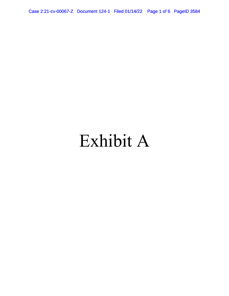Case 2:21-cv-00067-Z Document 124-1 Filed 01/14/22 Page 1 of 6 PageID 3584

# Exhibit A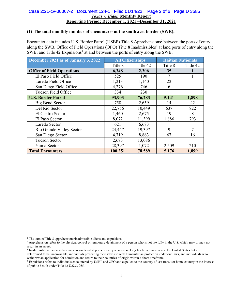#### *Texas v. Biden* **Monthly Report Reporting Period: December 1, 2021 –December 31, 2021**  Case 2:21-cv-00067-Z Document 124-1 Filed 01/14/22 Page 2 of 6 PageID 3585

## **(1) The total monthly number of encounters1 at the southwest border (SWB);**

Encounter data includes U.S. Border Patrol (USBP) Title 8 Apprehensions<sup>2</sup> between the ports of entry along the SWB, Office of Field Operations (OFO) Title 8 Inadmissibles<sup>3</sup> at land ports of entry along the SWB, and Title 42 Expulsions<sup>4</sup> at and between the ports of entry along the SWB.

| December 2021 as of January 3, 2022 | <b>All Citizenships</b> |          | <b>Haitian Nationals</b> |                |
|-------------------------------------|-------------------------|----------|--------------------------|----------------|
|                                     | Title 8                 | Title 42 | Title 8                  | Title 42       |
| <b>Office of Field Operations</b>   | 6,348                   | 2,306    | 35                       |                |
| El Paso Field Office                | 525                     | 190      | 7                        |                |
| Laredo Field Office                 | 1,213                   | 1,140    | 22                       |                |
| San Diego Field Office              | 4,276                   | 746      | 6                        |                |
| Tucson Field Office                 | 334                     | 230      |                          |                |
| <b>U.S. Border Patrol</b>           | 93,903                  | 76,283   | 5,141                    | 1,898          |
| Big Bend Sector                     | 758                     | 2,659    | 14                       | 42             |
| Del Rio Sector                      | 22,756                  | 10,449   | 637                      | 822            |
| El Centro Sector                    | 1,460                   | 2,675    | 19                       | 8              |
| El Paso Sector                      | 8,072                   | 11,399   | 1,886                    | 793            |
| Laredo Sector                       | 621                     | 6,683    |                          |                |
| Rio Grande Valley Sector            | 24,447                  | 19,397   | 9                        | $\overline{7}$ |
| San Diego Sector                    | 4,719                   | 8,863    | 67                       | 16             |
| <b>Tucson Sector</b>                | 2,673                   | 13,086   |                          |                |
| Yuma Sector                         | 28,397                  | 1,072    | 2,509                    | 210            |
| <b>Total Encounters</b>             | 100,251                 | 78,589   | 5,176                    | 1,899          |

 $1$  The sum of Title 8 apprehensions/inadmissible aliens and expulsions.

<sup>&</sup>lt;sup>2</sup> Apprehension refers to the physical control or temporary detainment of a person who is not lawfully in the U.S. which may or may not result in an arrest.

<sup>3</sup> Inadmissible refers to individuals encountered at ports of entry who are seeking lawful admission into the United States but are determined to be inadmissible, individuals presenting themselves to seek humanitarian protection under our laws, and individuals who withdraw an application for admission and return to their countries of origin within a short timeframe.<br><sup>4</sup> Expulsions refers to individuals encountered by USBP and OFO and expelled to the country of last transit or home c

of public health under Title 42 U.S.C. 265.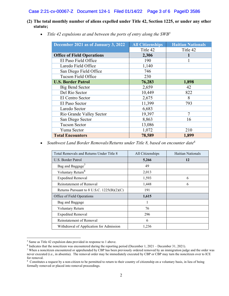#### Case 2:21-cv-00067-Z Document 124-1 Filed 01/14/22 Page 3 of 6 PageID 3586

## **(2) The total monthly number of aliens expelled under Title 42, Section 1225, or under any other statute;**

| December 2021 as of January 3, 2022 | <b>All Citizenships</b> | <b>Haitian Nationals</b> |
|-------------------------------------|-------------------------|--------------------------|
|                                     | Title 42                | Title 42                 |
| <b>Office of Field Operations</b>   | 2,306                   |                          |
| El Paso Field Office                | 190                     |                          |
| Laredo Field Office                 | 1,140                   |                          |
| San Diego Field Office              | 746                     |                          |
| Tucson Field Office                 | 230                     |                          |
| <b>U.S. Border Patrol</b>           | 76,283                  | 1,898                    |
| <b>Big Bend Sector</b>              | 2,659                   | 42                       |
| Del Rio Sector                      | 10,449                  | 822                      |
| El Centro Sector                    | 2,675                   | 8                        |
| El Paso Sector                      | 11,399                  | 793                      |
| Laredo Sector                       | 6,683                   |                          |
| Rio Grande Valley Sector            | 19,397                  | $\overline{7}$           |
| San Diego Sector                    | 8,863                   | 16                       |
| <b>Tucson Sector</b>                | 13,086                  |                          |
| Yuma Sector                         | 1,072                   | 210                      |
| <b>Total Encounters</b>             | 78,589                  | 1,899                    |

*Title 42 expulsions at and between the ports of entry along the SWB5* 

*Southwest Land Border Removals/Returns under Title 8, based on encounter date6*

| All Citizenships | Haitian Nationals |
|------------------|-------------------|
| 5,266            | 12                |
| 49               |                   |
| 2,013            |                   |
| 1,593            | 6                 |
| 1,448            | 6                 |
| 191              |                   |
| 1,615            |                   |
|                  |                   |
| 76               |                   |
| 296              |                   |
| 6                |                   |
| 1,236            |                   |
|                  |                   |

<sup>5</sup> Same as Title 42 expulsion data provided in response to 1 above.

 $6$  Indicates that the noncitizen was encountered during the reporting period (December 1, 2021 – December 31, 2021).

<sup>7</sup> When a noncitizen encountered or apprehended by CBP has been previously ordered removed by an immigration judge and the order was never executed (i.e., in absentia). The removal order may be immediately executed by CBP or CBP may turn the noncitizen over to ICE for removal.

<sup>&</sup>lt;sup>8</sup> Constitutes a request by a non-citizen to be permitted to return to their country of citizenship on a voluntary basis, in lieu of being formally removed or placed into removal proceedings.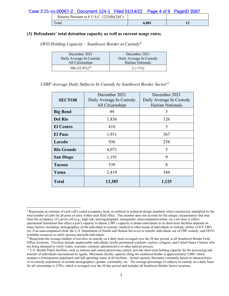| Returns Pursuant to 8 U.S.C. $1225(B)(2)(C)$ |       |  |
|----------------------------------------------|-------|--|
| $\tau_{\text{otal}}$                         | 6,881 |  |

#### **(3) Defendants' total detention capacity as well as current usage rates;**

*OFO Holding Capacity – Southwest Border in Custody9*

| December 2021            | December 2021               |
|--------------------------|-----------------------------|
| Daily Average In Custody | Daily Average In Custody    |
| All Citizenships         | Haitian Nationals           |
| 306 $(32.8\%)^{10}$      | $2 \left( \leq 1\% \right)$ |

*USBP Average Daily Subjects In Custody by Southwest Border Sector11*

| <b>SECTOR</b>     | December 2021<br>Daily Average In Custody<br>All Citizenships | December 2021<br>Daily Average In Custody<br><b>Haitian Nationals</b> |
|-------------------|---------------------------------------------------------------|-----------------------------------------------------------------------|
| <b>Big Bend</b>   | 44                                                            | 3                                                                     |
| <b>Del Rio</b>    | 1,836                                                         | 126                                                                   |
| <b>El Centro</b>  | 418                                                           | 5                                                                     |
| <b>El Paso</b>    | 1,931                                                         | 367                                                                   |
| Laredo            | 936                                                           | 258                                                                   |
| <b>Rio Grande</b> | 4,071                                                         | 5                                                                     |
| <b>San Diego</b>  | 1,191                                                         | 9                                                                     |
| <b>Tucson</b>     | 539                                                           | 8                                                                     |
| Yuma              | 2,419                                                         | 344                                                                   |
| <b>Total</b>      | 13,385                                                        | 1,125                                                                 |

<sup>&</sup>lt;sup>9</sup> Represents an estimate of each cell's coded occupancy limit, as outlined in technical design standards when constructed, multiplied by the total number of cells for all ports of entry within each field office. This number does not account for the unique circumstances that may limit the occupancy of a given cell (e.g., high risk, nursing/pregnant, transgender, unaccompanied minor, etc.) nor does it reflect operational limitations that affect a port's capacity to detain. CBP's capacity to detain individuals in its short-term facilities depends on many factors, including: demographics of the individual in custody; medical or other needs of individuals in custody; ability of ICE ERO (or, if an unaccompanied child, the U.S. Department of Health and Human Services) to transfer individuals out of CBP custody; and OFO's available resources to safely process and hold individuals.<br><sup>10</sup> Represents the average number of travelers in custody on a daily basis averaged over the 30-day period, at all Southwest Border Field

Office locations. Travelers include inadmissible individuals, lawful permanent residents, asylees, refugees, and United States Citizens who are being detained to verify wants, warrants, criminal, administrative or other judicial process.

<sup>&</sup>lt;sup>11</sup> U.S. Border Patrol facilities, such as stations and central processing centers, provide short-term holding capacity for the processing and transfer of individuals encountered by agents. Maximum facility capacity along the southwest border is approximately 5,000, which assumes a homogenous population and full operating status at all facilities. Actual capacity fluctuates constantly based on characteristics of in-custody population, to include demographics, gender, criminality, etc. The average percentage of subjects in custody on a daily basis for all citizenships is 270%, which is averaged over the 30-day period and includes all Southwest Border Sector locations.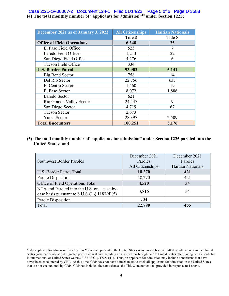### **(4) The total monthly number of "applicants for admission"12 under Section 1225;** Case 2:21-cv-00067-Z Document 124-1 Filed 01/14/22 Page 5 of 6 PageID 3588

| December 2021 as of January 3, 2022 | <b>All Citizenships</b> | <b>Haitian Nationals</b> |
|-------------------------------------|-------------------------|--------------------------|
|                                     | Title 8                 | Title 8                  |
| <b>Office of Field Operations</b>   | 6,348                   | 35                       |
| El Paso Field Office                | 525                     |                          |
| Laredo Field Office                 | 1,213                   | 22                       |
| San Diego Field Office              | 4,276                   | 6                        |
| Tucson Field Office                 | 334                     |                          |
| <b>U.S. Border Patrol</b>           | 93,903                  | 5,141                    |
| <b>Big Bend Sector</b>              | 758                     | 14                       |
| Del Rio Sector                      | 22,756                  | 637                      |
| El Centro Sector                    | 1,460                   | 19                       |
| El Paso Sector                      | 8,072                   | 1,886                    |
| Laredo Sector                       | 621                     |                          |
| Rio Grande Valley Sector            | 24,447                  | 9                        |
| San Diego Sector                    | 4,719                   | 67                       |
| <b>Tucson Sector</b>                | 2,673                   |                          |
| Yuma Sector                         | 28,397                  | 2,509                    |
| <b>Total Encounters</b>             | 100,251                 | 5,176                    |

# **(5) The total monthly number of "applicants for admission" under Section 1225 paroled into the United States; and**

|                                                                                                | December 2021    | December 2021     |
|------------------------------------------------------------------------------------------------|------------------|-------------------|
| <b>Southwest Border Paroles</b>                                                                | Paroles          | Paroles           |
|                                                                                                | All Citizenships | Haitian Nationals |
| U.S. Border Patrol Total                                                                       | 18,270           | 421               |
| Parole Disposition                                                                             | 18,270           | 421               |
| Office of Field Operations Total                                                               | 4,520            | 34                |
| NTA and Paroled into the U.S. on a case-by-<br>case basis pursuant to 8 U.S.C. $\S$ 1182(d)(5) | 3,816            | 34                |
| Parole Disposition                                                                             | 704              |                   |
| Total                                                                                          | 22,790           | 455               |

<sup>&</sup>lt;sup>12</sup> An applicant for admission is defined as "[a]n alien present in the United States who has not been admitted or who arrives in the United States (whether or not at a designated port of arrival and including an alien who is brought to the United States after having been interdicted in international or United States waters)." 8 U.S.C. § 1225(a)(1). Thus, an applicant for admission may include noncitizens that have never been encountered by CBP. At this time, CBP does not have a mechanism to track all applicants for admission in the United States that are not encountered by CBP. CBP has included the same data as the Title 8 encounter data provided in response to 1 above.